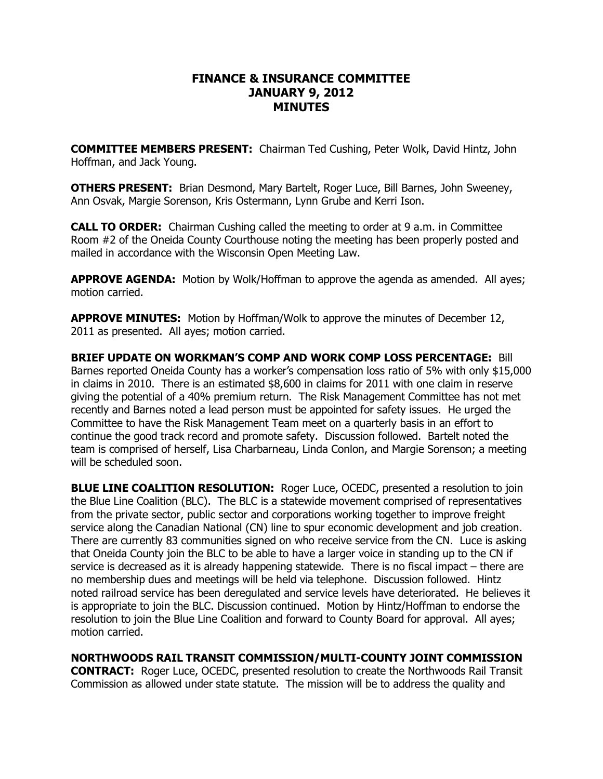## **FINANCE & INSURANCE COMMITTEE JANUARY 9, 2012 MINUTES**

**COMMITTEE MEMBERS PRESENT:**  Chairman Ted Cushing, Peter Wolk, David Hintz, John Hoffman, and Jack Young.

**OTHERS PRESENT:** Brian Desmond, Mary Bartelt, Roger Luce, Bill Barnes, John Sweeney, Ann Osvak, Margie Sorenson, Kris Ostermann, Lynn Grube and Kerri Ison.

**CALL TO ORDER:** Chairman Cushing called the meeting to order at 9 a.m. in Committee Room #2 of the Oneida County Courthouse noting the meeting has been properly posted and mailed in accordance with the Wisconsin Open Meeting Law.

**APPROVE AGENDA:** Motion by Wolk/Hoffman to approve the agenda as amended. All ayes; motion carried.

**APPROVE MINUTES:**  Motion by Hoffman/Wolk to approve the minutes of December 12, 2011 as presented. All ayes; motion carried.

**BRIEF UPDATE ON WORKMAN'S COMP AND WORK COMP LOSS PERCENTAGE:** Bill Barnes reported Oneida County has a worker's compensation loss ratio of 5% with only \$15,000 in claims in 2010. There is an estimated \$8,600 in claims for 2011 with one claim in reserve giving the potential of a 40% premium return. The Risk Management Committee has not met recently and Barnes noted a lead person must be appointed for safety issues. He urged the Committee to have the Risk Management Team meet on a quarterly basis in an effort to continue the good track record and promote safety. Discussion followed. Bartelt noted the team is comprised of herself, Lisa Charbarneau, Linda Conlon, and Margie Sorenson; a meeting will be scheduled soon.

**BLUE LINE COALITION RESOLUTION:** Roger Luce, OCEDC, presented a resolution to join the Blue Line Coalition (BLC). The BLC is a statewide movement comprised of representatives from the private sector, public sector and corporations working together to improve freight service along the Canadian National (CN) line to spur economic development and job creation. There are currently 83 communities signed on who receive service from the CN. Luce is asking that Oneida County join the BLC to be able to have a larger voice in standing up to the CN if service is decreased as it is already happening statewide. There is no fiscal impact – there are no membership dues and meetings will be held via telephone. Discussion followed. Hintz noted railroad service has been deregulated and service levels have deteriorated. He believes it is appropriate to join the BLC. Discussion continued. Motion by Hintz/Hoffman to endorse the resolution to join the Blue Line Coalition and forward to County Board for approval. All ayes; motion carried.

**NORTHWOODS RAIL TRANSIT COMMISSION/MULTI-COUNTY JOINT COMMISSION CONTRACT:**  Roger Luce, OCEDC, presented resolution to create the Northwoods Rail Transit Commission as allowed under state statute. The mission will be to address the quality and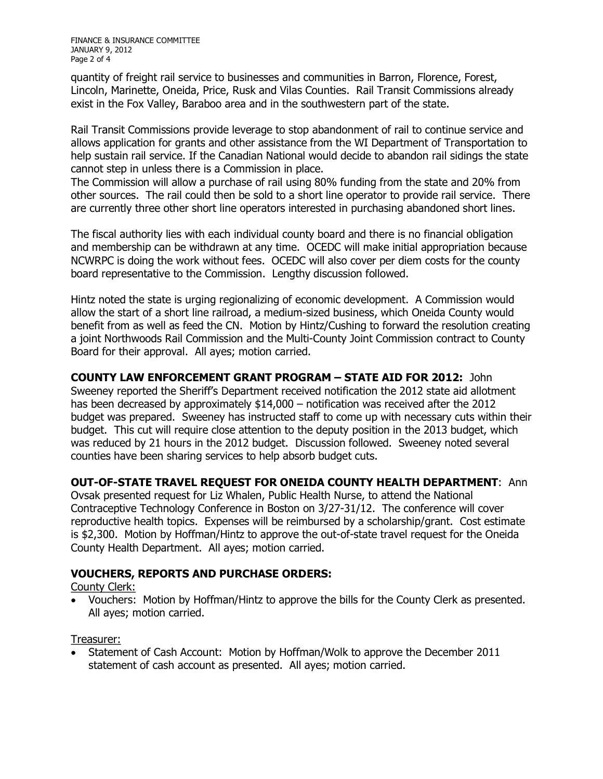FINANCE & INSURANCE COMMITTEE JANUARY 9, 2012 Page 2 of 4

quantity of freight rail service to businesses and communities in Barron, Florence, Forest, Lincoln, Marinette, Oneida, Price, Rusk and Vilas Counties. Rail Transit Commissions already exist in the Fox Valley, Baraboo area and in the southwestern part of the state.

Rail Transit Commissions provide leverage to stop abandonment of rail to continue service and allows application for grants and other assistance from the WI Department of Transportation to help sustain rail service. If the Canadian National would decide to abandon rail sidings the state cannot step in unless there is a Commission in place.

The Commission will allow a purchase of rail using 80% funding from the state and 20% from other sources. The rail could then be sold to a short line operator to provide rail service. There are currently three other short line operators interested in purchasing abandoned short lines.

The fiscal authority lies with each individual county board and there is no financial obligation and membership can be withdrawn at any time. OCEDC will make initial appropriation because NCWRPC is doing the work without fees. OCEDC will also cover per diem costs for the county board representative to the Commission. Lengthy discussion followed.

Hintz noted the state is urging regionalizing of economic development. A Commission would allow the start of a short line railroad, a medium-sized business, which Oneida County would benefit from aswell as feed the CN. Motion by Hintz/Cushing to forward the resolution creating a joint Northwoods Rail Commission and the Multi-County Joint Commission contract to County Board for their approval. All ayes; motion carried.

**COUNTY LAW ENFORCEMENT GRANT PROGRAM – STATE AID FOR 2012:** John Sweeney reported the Sheriff's Department received notification the 2012 state aid allotment has been decreased by approximately \$14,000 – notification was received after the 2012 budget was prepared. Sweeney has instructed staff to come up with necessary cuts within their budget. This cut will require close attention to the deputy position in the 2013 budget, which was reduced by 21 hours in the 2012 budget. Discussion followed. Sweeney noted several counties have been sharing services to help absorb budget cuts.

## **OUT-OF-STATE TRAVEL REQUEST FOR ONEIDA COUNTY HEALTH DEPARTMENT: Ann**

Ovsak presented request for Liz Whalen, Public Health Nurse, to attend the National Contraceptive Technology Conference in Boston on 3/27-31/12. The conference will cover reproductive health topics. Expenses will be reimbursed by a scholarship/grant. Cost estimate is \$2,300. Motion by Hoffman/Hintz to approve the out-of-state travel request for the Oneida County Health Department. All ayes; motion carried.

## **VOUCHERS, REPORTS AND PURCHASE ORDERS:**

County Clerk:

· Vouchers: Motion by Hoffman/Hintz to approve the bills for the County Clerk as presented. All ayes; motion carried.

Treasurer:

· Statement of Cash Account: Motion by Hoffman/Wolk to approve the December 2011 statement of cash account as presented. All ayes; motion carried.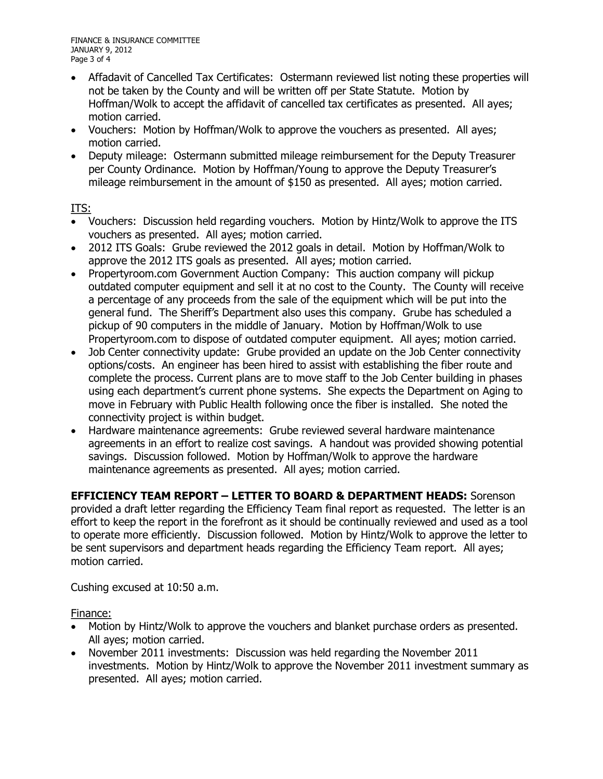- Affadavit of Cancelled Tax Certificates: Ostermann reviewed list noting these properties will not be taken by the County and will be written off per State Statute. Motion by Hoffman/Wolk to accept the affidavit of cancelled tax certificates as presented. All ayes; motion carried.
- · Vouchers: Motion by Hoffman/Wolk to approve the vouchers as presented. All ayes; motion carried.
- · Deputy mileage: Ostermann submitted mileage reimbursement for the Deputy Treasurer per County Ordinance. Motion by Hoffman/Young to approve the Deputy Treasurer's mileage reimbursement in the amount of \$150 as presented. All ayes; motion carried.

ITS:

- · Vouchers: Discussion held regarding vouchers. Motion by Hintz/Wolk to approve the ITS vouchers as presented. All ayes; motion carried.
- · 2012 ITS Goals: Grube reviewed the 2012 goals in detail. Motion by Hoffman/Wolk to approve the 2012 ITS goals as presented. All ayes; motion carried.
- · Propertyroom.com Government Auction Company: This auction company will pickup outdated computer equipment and sell it at no cost to the County. The County will receive a percentage of any proceeds from the sale of the equipment which will be put into the general fund. The Sheriff's Department also uses this company. Grube has scheduled a pickup of 90 computers in the middle of January. Motion by Hoffman/Wolk to use Propertyroom.com to dispose of outdated computer equipment. All ayes; motion carried.
- Job Center connectivity update: Grube provided an update on the Job Center connectivity options/costs. An engineer has been hired to assist with establishing the fiber route and complete the process. Current plans are to move staff to the Job Center building in phases using each department's current phone systems. She expects the Department on Aging to move in February with Public Health following once the fiber is installed. She noted the connectivity project is within budget.
- · Hardware maintenance agreements: Grube reviewed several hardware maintenance agreements in an effort to realize cost savings. A handout was provided showing potential savings. Discussion followed. Motion by Hoffman/Wolk to approve the hardware maintenance agreements as presented. All ayes; motion carried.

**EFFICIENCY TEAM REPORT – LETTER TO BOARD & DEPARTMENT HEADS:** Sorenson provided a draft letter regarding the Efficiency Team final report as requested. The letter is an effort to keep the report in the forefront as it should be continually reviewed and used as a tool to operate more efficiently. Discussion followed. Motion by Hintz/Wolk to approve the letter to be sent supervisors and department heads regarding the Efficiency Team report. All ayes; motion carried.

Cushing excused at 10:50 a.m.

Finance:

- · Motion by Hintz/Wolk to approve the vouchers and blanket purchase orders as presented. All ayes; motion carried.
- · November 2011 investments: Discussion was held regarding the November 2011 investments. Motion by Hintz/Wolk to approve the November 2011 investment summary as presented. All ayes; motion carried.